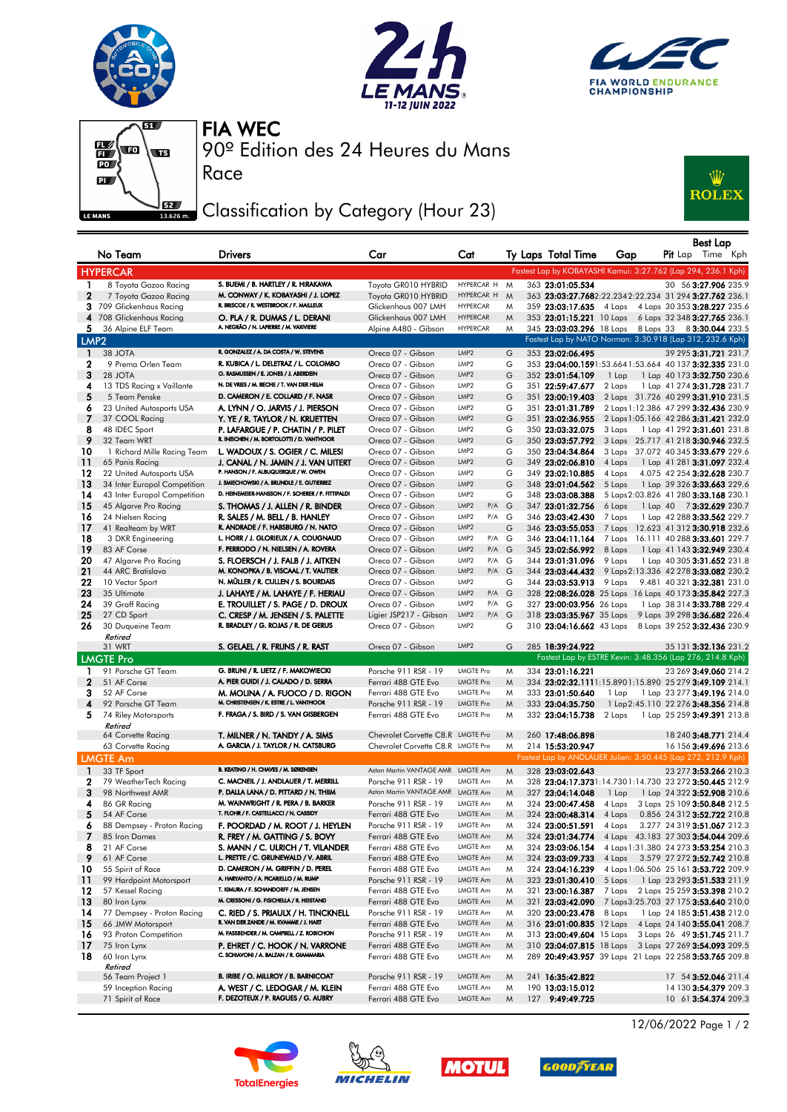







Race

90º Edition des 24 Heures du Mans FIA WEC

## Classification by Category (Hour 23)



|                   | No Team                                        | <b>Drivers</b>                                                                                   | Car                                                       | Cat                                                |        | Ty Laps Total Time                                                                 | Gap                                                                            |  | Best Lap<br>Pit Lap Time Kph                             |
|-------------------|------------------------------------------------|--------------------------------------------------------------------------------------------------|-----------------------------------------------------------|----------------------------------------------------|--------|------------------------------------------------------------------------------------|--------------------------------------------------------------------------------|--|----------------------------------------------------------|
|                   |                                                |                                                                                                  |                                                           |                                                    |        |                                                                                    |                                                                                |  |                                                          |
|                   | <b>HYPERCAR</b>                                |                                                                                                  |                                                           |                                                    |        | Fastest Lap by KOBAYASHI Kamui: 3:27.762 (Lap 294, 236.1 Kph)                      |                                                                                |  |                                                          |
| 1<br>$\mathbf{2}$ | 8 Toyota Gazoo Racing<br>7 Toyota Gazoo Racing | S. BUEMI / B. HARTLEY / R. HIRAKAWA<br>M. CONWAY / K. KOBAYASHI / J. LOPEZ                       | Toyota GR010 HYBRID<br>Toyota GR010 HYBRID                | HYPERCAR H<br>HYPERCAR H                           | M<br>M | 363 23:01:05.534<br>363 23:03:27.7682:22.2342:22.234 31 294 3:27.762 236.1         |                                                                                |  | 30 56 3:27.906 235.9                                     |
|                   | 3 709 Glickenhaus Racing                       | R. BRISCOE / R. WESTBROOK / F. MAILLEUX                                                          | Glickenhaus 007 LMH                                       | <b>HYPERCAR</b>                                    | M      | 359 23:03:17.635 4 Laps 4 Laps 30 353 3:28.227 235.6                               |                                                                                |  |                                                          |
|                   | 4 708 Glickenhaus Racing                       | O. PLA / R. DUMAS / L. DERANI                                                                    | Glickenhaus 007 LMH                                       | <b>HYPERCAR</b>                                    | M      | 353 23:01:15.221 10 Laps 6 Laps 32 348 3:27.765 236.1                              |                                                                                |  |                                                          |
| 5                 | 36 Alpine ELF Team                             | A. NEGRÃO / N. LAPIERRE / M. VAXIVIERE                                                           | Alpine A480 - Gibson                                      | <b>HYPERCAR</b>                                    | M      | 345 23:03:03.296 18 Laps 8 Laps 33 8 3:30.044 233.5                                |                                                                                |  |                                                          |
| LMP <sub>2</sub>  |                                                |                                                                                                  |                                                           |                                                    |        | Fastest Lap by NATO Norman: 3:30.918 (Lap 312, 232.6 Kph)                          |                                                                                |  |                                                          |
| $\mathbf{1}$      | 38 JOTA                                        | R. GONZALEZ / A. DA COSTA / W. STEVENS                                                           | Oreca 07 - Gibson                                         | LMP <sub>2</sub>                                   | G      | 353 23:02:06.495                                                                   |                                                                                |  | 39 295 3:31.721 231.7                                    |
| $\mathbf{2}$      | 9 Prema Orlen Team                             | R. KUBICA / L. DELETRAZ / L. COLOMBO                                                             | Oreca 07 - Gibson                                         | LMP2                                               | G      | 353 23:04:00.1591:53.6641:53.664 40 137 3:32.335 231.0                             |                                                                                |  |                                                          |
| 3                 | 28 JOTA                                        | O. RASMUSSEN / E. JONES / J. ABERDEIN                                                            | Oreca 07 - Gibson                                         | LMP2                                               | G      | 352 23:01:54.109                                                                   | 1 Lap                                                                          |  | 1 Lap 40 173 3:32.750 230.6                              |
| 4                 | 13 TDS Racing x Vaillante                      | N. DE VRIES / M. BECHE / T. VAN DER HELM                                                         | Oreca 07 - Gibson                                         | LMP2                                               | G      | 351 22:59:47.677                                                                   | 2 Laps                                                                         |  | 1 Lap 41 274 3:31.728 231.7                              |
| 5                 | 5 Team Penske                                  | D. CAMERON / E. COLLARD / F. NASR                                                                | Oreca 07 - Gibson                                         | LMP2                                               | G      | 351 23:00:19.403                                                                   | 2 Laps 31.726 40 299 3:31.910 231.5                                            |  |                                                          |
| 6<br>7            | 23 United Autosports USA<br>37 COOL Racing     | A. LYNN / O. JARVIS / J. PIERSON<br>Y. YE / R. TAYLOR / N. KRUETTEN                              | Oreca 07 - Gibson<br>Oreca 07 - Gibson                    | LMP <sub>2</sub><br>LMP2                           | G<br>G | 351 23:01:31.789<br>351 23:02:36.955                                               | 2 Laps 1:12.386 47 299 3:32.436 230.9<br>2 Laps 1:05.166 42 286 3:31.421 232.0 |  |                                                          |
| 8                 | 48 IDEC Sport                                  | P. LAFARGUE / P. CHATIN / P. PILET                                                               | Oreca 07 - Gibson                                         | LMP2                                               | G      | 350 23:03:32.075                                                                   | 3 Laps                                                                         |  | 1 Lap 41 292 3:31.601 231.8                              |
| 9                 | 32 Team WRT                                    | R. INEICHEN / M. BORTOLOTTI / D. VANTHOOR                                                        | Oreca 07 - Gibson                                         | LMP <sub>2</sub>                                   | G      | 350 23:03:57.792                                                                   | 3 Laps                                                                         |  | 25.717 41 218 3:30.946 232.5                             |
| 10                | 1 Richard Mille Racing Team                    | L. WADOUX / S. OGIER / C. MILESI                                                                 | Oreca 07 - Gibson                                         | LMP2                                               | G      | 350 23:04:34.864                                                                   | 3 Laps 37.072 40 345 3:33.679 229.6                                            |  |                                                          |
| 11                | 65 Panis Racing                                | J. CANAL / N. JAMIN / J. VAN UITERT                                                              | Oreca 07 - Gibson                                         | LMP2                                               | G      | 349 23:02:06.810                                                                   | 4 Laps                                                                         |  | 1 Lap 41 281 3:31.097 232.4                              |
| 12                | 22 United Autosports USA                       | P. HANSON / F. ALBUQUERQUE / W. OWEN                                                             | Oreca 07 - Gibson                                         | LMP2                                               | G      | 349 23:02:10.885                                                                   | 4 Laps                                                                         |  | 4.075 42 254 3:32.628 230.7                              |
| 13                | 34 Inter Europol Competition                   | J. SMIECHOWSKI / A. BRUNDLE / E. GUTIERREZ<br>D. HEINEMEIER-HANSSON / F. SCHERER / P. FITTIPALDI | Oreca 07 - Gibson                                         | LMP <sub>2</sub>                                   | G      | 348 23:01:04.562                                                                   | 5 Laps                                                                         |  | 1 Lap 39 326 3:33.663 229.6                              |
| 14<br>15          | 43 Inter Europol Competition                   |                                                                                                  | Oreca 07 - Gibson                                         | LMP2<br>$P/A$ $G$<br>LMP <sub>2</sub>              | G      | 348 23:03:08.388                                                                   | 5 Laps 2:03.826 41 280 3:33.168 230.1                                          |  |                                                          |
| 16                | 45 Algarve Pro Racing<br>24 Nielsen Racing     | S. THOMAS / J. ALLEN / R. BINDER<br>R. SALES / M. BELL / B. HANLEY                               | Oreca 07 - Gibson<br>Oreca 07 - Gibson                    | LMP <sub>2</sub><br>$P/A$ G                        |        | 347 23:01:32.756<br>346 23:03:42.430                                               | 6 Laps<br>7 Laps                                                               |  | 1 Lap 40 7 3:32.629 230.7<br>1 Lap 42 288 3:33.562 229.7 |
| 17                | 41 Realteam by WRT                             | R. ANDRADE / F. HABSBURG / N. NATO                                                               | Oreca 07 - Gibson                                         | LMP <sub>2</sub>                                   | G      | 346 23:03:55.053                                                                   | 7 Laps                                                                         |  | 12.623 41 312 3:30.918 232.6                             |
| 18                | 3 DKR Engineering                              | L. HORR / J. GLORIEUX / A. COUGNAUD                                                              | Oreca 07 - Gibson                                         | LMP2<br>$P/A$ $G$                                  |        | 346 23:04:11.164                                                                   | 7 Laps                                                                         |  | 16.111 40 288 3:33.601 229.7                             |
| 19                | 83 AF Corse                                    | F. PERRODO / N. NIELSEN / A. ROVERA                                                              | Oreca 07 - Gibson                                         | LMP <sub>2</sub><br>$P/A$ G                        |        | 345 23:02:56.992                                                                   | 8 Laps                                                                         |  | 1 Lap 41 143 3:32.949 230.4                              |
| 20                | 47 Algarve Pro Racing                          | S. FLOERSCH / J. FALB / J. AITKEN                                                                | Oreca 07 - Gibson                                         | LMP2<br>$P/A$ $G$                                  |        | 344 23:01:31.096                                                                   | 9 Laps                                                                         |  | 1 Lap 40 305 3:31.652 231.8                              |
| 21                | 44 ARC Bratislava                              | M. KONOPKA / B. VISCAAL / T. VAUTIER                                                             | Oreca 07 - Gibson                                         | LMP <sub>2</sub><br>$P/A$ $G$                      |        | 344 23:03:44.432                                                                   | 9 Laps 2:13.336 42 278 3:33.082 230.2                                          |  |                                                          |
| 22                | 10 Vector Sport                                | N. MÜLLER / R. CULLEN / S. BOURDAIS                                                              | Oreca 07 - Gibson                                         | LMP <sub>2</sub>                                   | G      | 344 23:03:53.913                                                                   | 9 Laps                                                                         |  | 9.481 40 321 3:32.381 231.0                              |
| 23<br>24          | 35 Ultimate<br>39 Graff Racing                 | J. LAHAYE / M. LAHAYE / F. HERIAU<br>E. TROUILLET / S. PAGE / D. DROUX                           | Oreca 07 - Gibson<br>Oreca 07 - Gibson                    | LMP <sub>2</sub><br>$P/A$ $G$<br>LMP2<br>$P/A$ $G$ |        | 328 22:08:26.028 25 Laps 16 Laps 40 173 3:35.842 227.3<br>327 23:00:03.956 26 Laps |                                                                                |  | 1 Lap 38 314 3:33.788 229.4                              |
| 25                | 27 CD Sport                                    | C. CRESP / M. JENSEN / S. PALETTE                                                                | Ligier JSP217 - Gibson                                    | LMP <sub>2</sub><br>$P/A$ $G$                      |        | 318 23:03:35.967 35 Laps                                                           |                                                                                |  | 9 Laps 39 298 3:36.682 226.4                             |
| 26                | 30 Duqueine Team                               | R. BRADLEY / G. ROJAS / R. DE GERUS                                                              | Oreca 07 - Gibson                                         | LMP2                                               | G      | 310 23:04:16.662 43 Laps                                                           |                                                                                |  | 8 Laps 39 252 3:32.436 230.9                             |
|                   | Retired                                        |                                                                                                  |                                                           |                                                    |        |                                                                                    |                                                                                |  |                                                          |
|                   | 31 WRT                                         | S. GELAEL / R. FRIJNS / R. RAST                                                                  | Oreca 07 - Gibson                                         | LMP <sub>2</sub>                                   | G      | 285 18:39:24.922                                                                   |                                                                                |  | 35 131 3:32.136 231.2                                    |
|                   | <b>LMGTE Pro</b>                               |                                                                                                  |                                                           |                                                    |        | Fastest Lap by ESTRE Kevin: 3:48.356 (Lap 276, 214.8 Kph)                          |                                                                                |  |                                                          |
| L                 | 91 Porsche GT Team                             | G. BRUNI / R. LIETZ / F. MAKOWIECKI                                                              | Porsche 911 RSR - 19                                      | LMGTE Pro                                          | M      | 334 23:01:16.221                                                                   |                                                                                |  | 23 269 3:49.060 214.2                                    |
| $\mathbf{2}$<br>3 | 51 AF Corse<br>52 AF Corse                     | A. PIER GUIDI / J. CALADO / D. SERRA<br>M. MOLINA / A. FUOCO / D. RIGON                          | Ferrari 488 GTE Evo<br>Ferrari 488 GTE Evo                | LMGTE Pro<br>LMGTE Pro                             | M<br>M | 334 23:02:32.1111:15.8901:15.890 25 279 3:49.109 214.1<br>333 23:01:50.640         |                                                                                |  | 1 Lap 23 277 3:49.196 214.0                              |
| 4                 | 92 Porsche GT Team                             | M. CHRISTENSEN / K. ESTRE / L. VANTHOOR                                                          | Porsche 911 RSR - 19                                      | LMGTE Pro                                          | M      | 333 23:04:35.750                                                                   | 1 Lap<br>1 Lap 2:45.110 22 276 3:48.356 214.8                                  |  |                                                          |
| 5                 | 74 Riley Motorsports                           | F. FRAGA / S. BIRD / S. VAN GISBERGEN                                                            | Ferrari 488 GTE Evo                                       | LMGTE Pro                                          | M      | 332 23:04:15.738                                                                   | 2 Laps                                                                         |  | 1 Lap 25 259 3:49.391 213.8                              |
|                   | Retired                                        |                                                                                                  |                                                           |                                                    |        |                                                                                    |                                                                                |  |                                                          |
|                   | 64 Corvette Racing                             | T. MILNER / N. TANDY / A. SIMS                                                                   | Chevrolet Corvette C8.R LMGTE Pro                         |                                                    | M      | 260 17:48:06.898                                                                   |                                                                                |  | 18 240 3:48.771 214.4                                    |
|                   | 63 Corvette Racing                             | A. GARCIA / J. TAYLOR / N. CATSBURG                                                              | Chevrolet Corvette C8.R LMGTE Pro                         |                                                    | M      | 214 15:53:20.947                                                                   |                                                                                |  | 16 156 <b>3:49.696</b> 213.6                             |
|                   | <b>LMGTE Am</b>                                |                                                                                                  |                                                           |                                                    |        | Fastest Lap by ANDLAUER Julien: 3:50.445 (Lap 272, 212.9 Kph)                      |                                                                                |  |                                                          |
| $\blacksquare$    | 33 TF Sport                                    | B. KEATING / H. CHAVES / M. SØRENSEN<br>C. MACNEIL / J. ANDLAUER / T. MERRILL                    | Aston Martin VANTAGE AMR LMGTE Am                         |                                                    | M      | 328 23:03:02.643                                                                   |                                                                                |  | 23 277 3:53.266 210.3                                    |
| 2<br>3            | 79 WeatherTech Racing<br>98 Northwest AMR      | P. DALLA LANA / D. PITTARD / N. THIIM                                                            | Porsche 911 RSR - 19<br>Aston Martin VANTAGE AMR LMGTE Am | LMGTE Am                                           | M<br>M | 328 23:04:17.3731:14.7301:14.730 23 272 3:50.445 212.9<br>327 23:04:14.048         | 1 Lap                                                                          |  | 1 Lap 24 322 3:52.908 210.6                              |
| 4                 | 86 GR Racing                                   | M. WAINWRIGHT / R. PERA / B. BARKER                                                              | Porsche 911 RSR - 19                                      | LMGTE Am                                           | M      | 324 23:00:47.458                                                                   | 4 Laps                                                                         |  | 3 Laps 25 109 3:50.848 212.5                             |
| 5                 | 54 AF Corse                                    | T. FLOHR / F. CASTELLACCI / N. CASSIDY                                                           | Ferrari 488 GTE Evo                                       | LMGTE Am                                           | M      | 324 23:00:48.314                                                                   | 4 Laps                                                                         |  | 0.856 24 312 3:52.722 210.8                              |
| 6                 | 88 Dempsey - Proton Racing                     | F. POORDAD / M. ROOT / J. HEYLEN                                                                 | Porsche 911 RSR - 19                                      | LMGTE Am                                           | M      | 324 23:00:51.591                                                                   | 4 Laps                                                                         |  | 3.277 24 319 3:51.067 212.3                              |
| 7                 | 85 Iron Dames                                  | R. FREY / M. GATTING / S. BOVY                                                                   | Ferrari 488 GTE Evo                                       | LMGTE Am                                           | M      | 324 23:01:34.774                                                                   | 4 Laps 43.183 27 303 3:54.044 209.6                                            |  |                                                          |
| 8                 | 21 AF Corse                                    | S. MANN / C. ULRICH / T. VILANDER                                                                | Ferrari 488 GTE Evo                                       | LMGTE Am                                           | M      | 324 23:03:06.154                                                                   | 4 Laps 1:31.380 24 273 3:53.254 210.3                                          |  |                                                          |
| 9                 | 61 AF Corse                                    | L. PRETTE / C. GRUNEWALD / V. ABRIL<br>D. CAMERON / M. GRIFFIN / D. PEREL                        | Ferrari 488 GTE Evo                                       | LMGTE Am                                           | M      | 324 23:03:09.733<br>324 23:04:16.239                                               | 4 Laps                                                                         |  | 3.579 27 272 <b>3:52.742</b> 210.8                       |
| 10<br>11          | 55 Spirit of Race<br>99 Hardpoint Motorsport   | A. HARYANTO / A. PICARIELLO / M. RUMP                                                            | Ferrari 488 GTE Evo<br>Porsche 911 RSR - 19               | LMGTE Am<br>LMGTE Am                               | M<br>M | 323 23:01:30.410                                                                   | 4 Laps 1:06.506 25 161 3:53.722 209.9<br>5 Laps                                |  | 1 Lap 23 293 3:51.533 211.9                              |
| 12                | 57 Kessel Racing                               | T. KIMURA / F. SCHANDORFF / M. JENSEN                                                            | Ferrari 488 GTE Evo                                       | LMGTE Am                                           | M      | 321 23:00:16.387                                                                   | 7 Laps                                                                         |  | 2 Laps 25 259 3:53.398 210.2                             |
| 13                | 80 Iron Lynx                                   | M. CRESSONI / G. FISICHELLA / R. HEISTAND                                                        | Ferrari 488 GTE Evo                                       | LMGTE Am                                           | M      | 321 23:03:42.090                                                                   | 7 Laps 3:25.703 27 175 3:53.640 210.0                                          |  |                                                          |
| 14                | 77 Dempsey - Proton Racing                     | C. RIED / S. PRIAULX / H. TINCKNELL                                                              | Porsche 911 RSR - 19                                      | LMGTE Am                                           | M      | 320 23:00:23.478                                                                   | 8 Laps                                                                         |  | 1 Lap 24 185 3:51.438 212.0                              |
| 15                | 66 JMW Motorsport                              | R. VAN DER ZANDE / M. KVAMME / J. HART                                                           | Ferrari 488 GTE Evo                                       | LMGTE Am                                           | M      | 316 23:01:00.835 12 Laps                                                           |                                                                                |  | 4 Laps 24 140 3:55.041 208.7                             |
| 16                | 93 Proton Competition                          | M. FASSBENDER / M. CAMPBELL / Z. ROBICHON                                                        | Porsche 911 RSR - 19                                      | LMGTE Am                                           | M      | 313 23:00:49.604 15 Laps                                                           |                                                                                |  | 3 Laps 26 49 3:51.745 211.7                              |
| 17                | 75 Iron Lynx                                   | P. EHRET / C. HOOK / N. VARRONE<br>C. SCHIAVONI / A. BALZAN / R. GIAMMARIA                       | Ferrari 488 GTE Evo                                       | LMGTE Am                                           | M      | 310 23:04:07.815 18 Laps 3 Laps 27 269 3:54.093 209.5                              |                                                                                |  |                                                          |
| 18                | 60 Iron Lynx<br>Retired                        |                                                                                                  | Ferrari 488 GTE Evo                                       | LMGTE Am                                           | M      | 289 20:49:43.957 39 Laps 21 Laps 22 258 3:53.765 209.8                             |                                                                                |  |                                                          |
|                   | 56 Team Project 1                              | B. IRIBE / O. MILLROY / B. BARNICOAT                                                             | Porsche 911 RSR - 19                                      | LMGTE Am                                           | M      | 241 16:35:42.822                                                                   |                                                                                |  | 17 54 3:52.046 211.4                                     |
|                   | 59 Inception Racing                            | A. WEST / C. LEDOGAR / M. KLEIN                                                                  | Ferrari 488 GTE Evo                                       | LMGTE Am                                           | M      | 190 13:03:15.012                                                                   |                                                                                |  | 14 130 3:54.379 209.3                                    |
|                   | 71 Spirit of Race                              | F. DEZOTEUX / P. RAGUES / G. AUBRY                                                               | Ferrari 488 GTE Evo                                       | LMGTE Am                                           | M      | 127 9:49:49.725                                                                    |                                                                                |  | 10 61 3:54.374 209.3                                     |









12/06/2022 Page 1 / 2